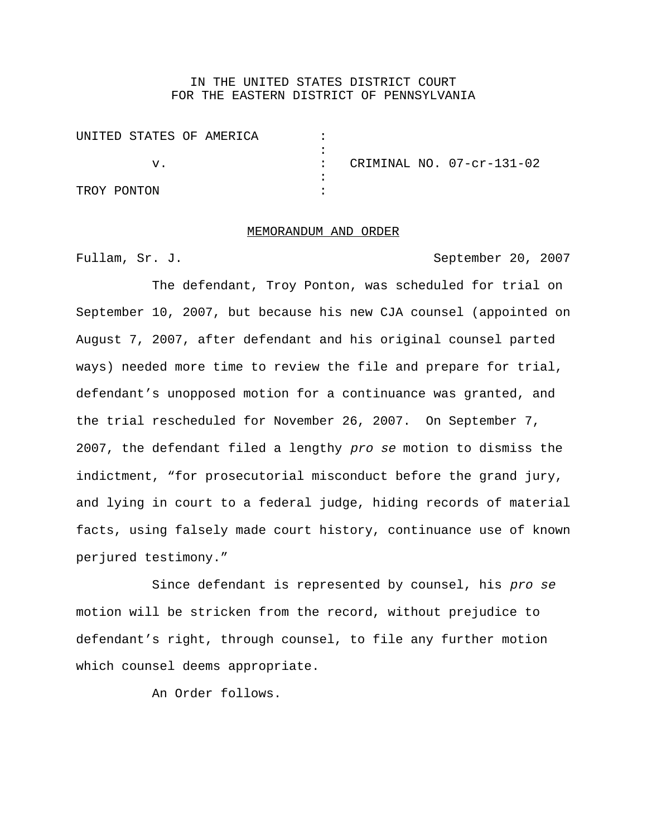## IN THE UNITED STATES DISTRICT COURT FOR THE EASTERN DISTRICT OF PENNSYLVANIA

| UNITED STATES OF AMERICA |                           |
|--------------------------|---------------------------|
|                          |                           |
|                          | CRIMINAL NO. 07-cr-131-02 |
|                          |                           |
| TROY PONTON              |                           |

## MEMORANDUM AND ORDER

Fullam, Sr. J. September 20, 2007

The defendant, Troy Ponton, was scheduled for trial on September 10, 2007, but because his new CJA counsel (appointed on August 7, 2007, after defendant and his original counsel parted ways) needed more time to review the file and prepare for trial, defendant's unopposed motion for a continuance was granted, and the trial rescheduled for November 26, 2007. On September 7, 2007, the defendant filed a lengthy pro se motion to dismiss the indictment, "for prosecutorial misconduct before the grand jury, and lying in court to a federal judge, hiding records of material facts, using falsely made court history, continuance use of known perjured testimony."

Since defendant is represented by counsel, his pro se motion will be stricken from the record, without prejudice to defendant's right, through counsel, to file any further motion which counsel deems appropriate.

An Order follows.